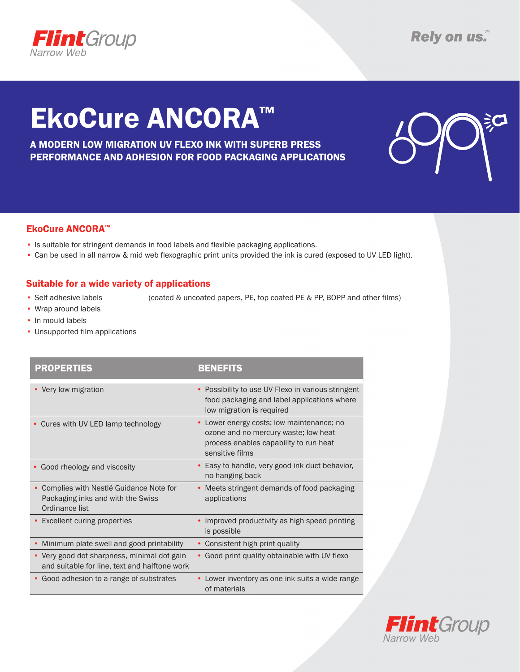

# EkoCure ANCORA™

A MODERN LOW MIGRATION UV FLEXO INK WITH SUPERB PRESS PERFORMANCE AND ADHESION FOR FOOD PACKAGING APPLICATIONS



### EkoCure ANCORA™

- Is suitable for stringent demands in food labels and flexible packaging applications.
- Can be used in all narrow & mid web flexographic print units provided the ink is cured (exposed to UV LED light).

#### Suitable for a wide variety of applications

• Self adhesive labels (coated & uncoated papers, PE, top coated PE & PP, BOPP and other films)

- Wrap around labels
- In-mould labels
- Unsupported film applications

| <b>PROPERTIES</b>                                                                             | <b>BENEFITS</b>                                                                                                                              |
|-----------------------------------------------------------------------------------------------|----------------------------------------------------------------------------------------------------------------------------------------------|
| • Very low migration                                                                          | Possibility to use UV Flexo in various stringent<br>٠<br>food packaging and label applications where<br>low migration is required            |
| • Cures with UV LED lamp technology                                                           | Lower energy costs; low maintenance; no<br>ozone and no mercury waste; low heat<br>process enables capability to run heat<br>sensitive films |
| • Good rheology and viscosity                                                                 | Easy to handle, very good ink duct behavior,<br>no hanging back                                                                              |
| Complies with Nestlé Guidance Note for<br>Packaging inks and with the Swiss<br>Ordinance list | Meets stringent demands of food packaging<br>٠<br>applications                                                                               |
| Excellent curing properties                                                                   | Improved productivity as high speed printing<br>٠<br>is possible                                                                             |
| Minimum plate swell and good printability<br>$\bullet$                                        | • Consistent high print quality                                                                                                              |
| • Very good dot sharpness, minimal dot gain<br>and suitable for line, text and halftone work  | • Good print quality obtainable with UV flexo                                                                                                |
| Good adhesion to a range of substrates                                                        | Lower inventory as one ink suits a wide range<br>of materials                                                                                |